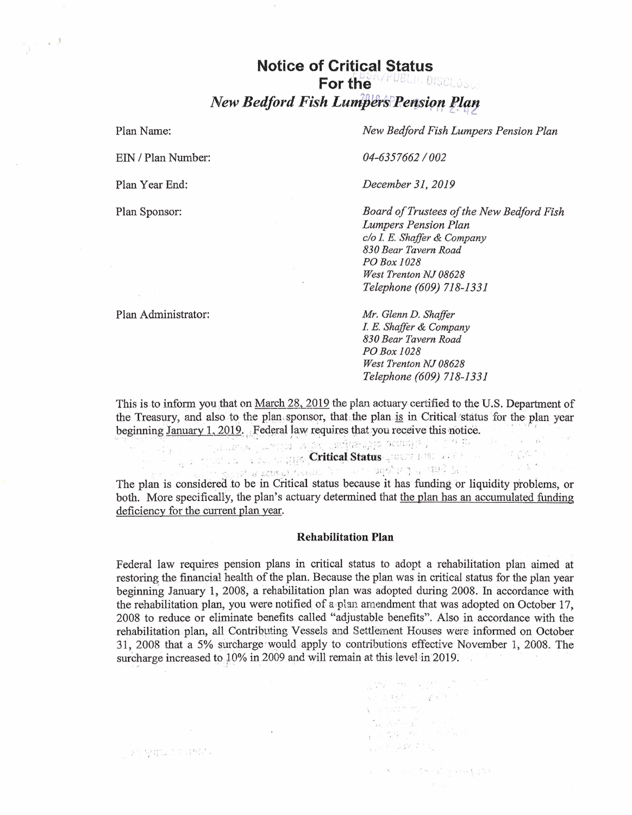## **Notice of Critical Status** For the **MANAGEMENT DISCLIPTION New Bedford Fish Lumpers Pension Plan**

Plan Name:

 $\longrightarrow$   $\sim$   $^{-1}$ 

EIN / Plan Number:

Plan Year End:

Plan Sponsor:

New Bedford Fish Lumpers Pension Plan

04-6357662/002

December 31, 2019

Board of Trustees of the New Bedford Fish Lumpers Pension Plan c/o I. E. Shaffer & Company 830 Bear Tavern Road PO Box 1028 West Trenton NJ 08628 Telephone (609) 718-1331

Plan Administrator:

 $\mathbb{P}^{\mathbb{N}}\big(\mathbb{P}\big(\mathbb{Q}^{\mathbb{N}}\big)^{\mathbb{N}}\big)\cap\mathbb{P}^{\mathbb{N}}\big(\mathbb{R}^{\mathbb{N}}\big)\big)$ 

Mr. Glenn D. Shaffer I. E. Shaffer & Company 830 Bear Tavern Road PO Box 1028 West Trenton NJ 08628 Telephone (609) 718-1331

This is to inform you that on March 28, 2019 the plan actuary certified to the U.S. Department of the Treasury, and also to the plan sponsor, that the plan is in Critical status for the plan year beginning January 1, 2019. Federal law requires that you receive this notice.  $\mathcal{L} = \left[ \begin{array}{cc} \mathcal{L} & \mathcal{L} & \mathcal{L} \\ \mathcal{L} & \mathcal{L} & \mathcal{L} \end{array} \right]$  $\sim$   $\sim$   $\sim$ 

17 Santa Contrat Status Justice Live of Care

 $\mathbb{Z}$  and  $\mathbb{Z}$  are contributions of  $\mathbb{Z}$  and  $\mathbb{Z}$  and  $\mathbb{Z}$  and  $\mathbb{Z}$  and  $\mathbb{Z}$  and  $\mathbb{Z}$  and  $\mathbb{Z}$  and  $\mathbb{Z}$  and  $\mathbb{Z}$  and  $\mathbb{Z}$  and  $\mathbb{Z}$  and  $\mathbb{Z}$  and  $\mathbb{Z}$  and  $\mathbb{Z}$  The plan is considered to be in Critical status because it has funding or liquidity problems, or both. More specifically, the plan's actuary determined that the plan has an accumulated funding deficiency for the current plan year.

## **Rehabilitation Plan**

Federal law requires pension plans in critical status to adopt a rehabilitation plan aimed at restoring the financial health of the plan. Because the plan was in critical status for the plan year beginning January 1, 2008, a rehabilitation plan was adopted during 2008. In accordance with the rehabilitation plan, you were notified of a plan amendment that was adopted on October 17. 2008 to reduce or eliminate benefits called "adjustable benefits". Also in accordance with the rehabilitation plan, all Contributing Vessels and Settlement Houses were informed on October 31, 2008 that a 5% surcharge would apply to contributions effective November 1, 2008. The surcharge increased to 10% in 2009 and will remain at this level in 2019.

> $\label{eq:1.1} \frac{1}{\sqrt{2}}\frac{\partial^2\mathbf{y}}{\partial\mathbf{y}}^2=-\nabla\mathbf{y}\,,\qquad \frac{1}{\sqrt{2}}\frac{\partial^2\mathbf{y}}{\partial\mathbf{y}}^2=-\frac{\partial\mathbf{y}}{\partial\mathbf{y}}\,.$ a dan ka

 $\label{eq:1.1} \xi_{\alpha}(\mathbf{y}_{\mathbf{y}_{\alpha}})\left(\mathbf{y}_{\alpha}^{(\mathbf{y}_{\alpha})}\mathbf{x}_{\alpha}^{(\mathbf{y}_{\alpha})}\mathbf{y}_{\alpha}^{(\mathbf{y}_{\alpha})}\right) = \mathbf{x}^{(\mathbf{y}_{\alpha})}$  $\frac{1}{1-\alpha}=\frac{2\alpha}{\lambda}\sum_{i=1}^{\infty}\zeta_{i}^{i}=\frac{2\alpha}{\lambda^{i}}\sum_{i=1}^{\infty}\zeta_{i}^{i}=\frac{2}{\lambda^{i}}\sum_{i=1}^{\infty}\zeta_{i}^{i}$  $\label{eq:psi} \psi_{\alpha\beta} \sim \lambda_{\alpha\beta} \partial \mathcal{R} \partial_\alpha \mathcal{R}^{\alpha\beta} \partial_\alpha \mathcal{L}^{\beta\beta} \partial_\alpha \mathcal{L}^{\beta\beta}$ 

 $\mathbf{u} = -\mathbf{S} = -\mathbf{v}_{\text{old}} - \frac{\mathbf{g}}{2} \mathbf{m} + \mathbf{v}_{\text{old}}^{\mathbf{S}} - \mathbf{h}_{\text{old}} \mathbf{v}_{\text{old}} + \frac{\mathbf{g}}{2} \mathbf{v}_{\text{old}}^{\mathbf{S}}$